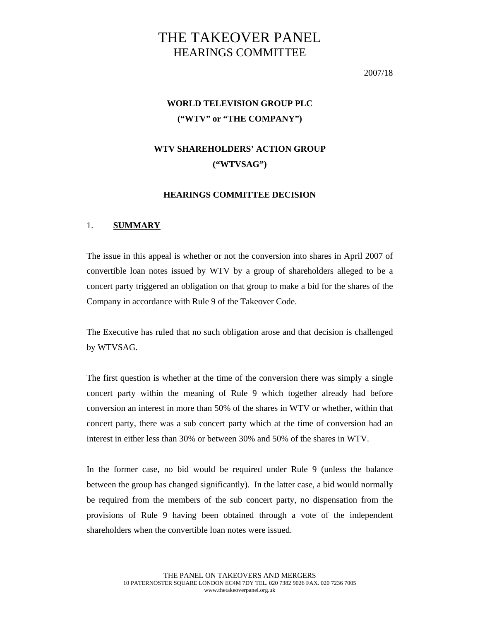# THE TAKEOVER PANEL HEARINGS COMMITTEE

2007/18

# **WORLD TELEVISION GROUP PLC ("WTV" or "THE COMPANY")**

# **WTV SHAREHOLDERS' ACTION GROUP ("WTVSAG")**

# **HEARINGS COMMITTEE DECISION**

# 1. **SUMMARY**

The issue in this appeal is whether or not the conversion into shares in April 2007 of convertible loan notes issued by WTV by a group of shareholders alleged to be a concert party triggered an obligation on that group to make a bid for the shares of the Company in accordance with Rule 9 of the Takeover Code.

The Executive has ruled that no such obligation arose and that decision is challenged by WTVSAG.

The first question is whether at the time of the conversion there was simply a single concert party within the meaning of Rule 9 which together already had before conversion an interest in more than 50% of the shares in WTV or whether, within that concert party, there was a sub concert party which at the time of conversion had an interest in either less than 30% or between 30% and 50% of the shares in WTV.

In the former case, no bid would be required under Rule 9 (unless the balance between the group has changed significantly). In the latter case, a bid would normally be required from the members of the sub concert party, no dispensation from the provisions of Rule 9 having been obtained through a vote of the independent shareholders when the convertible loan notes were issued.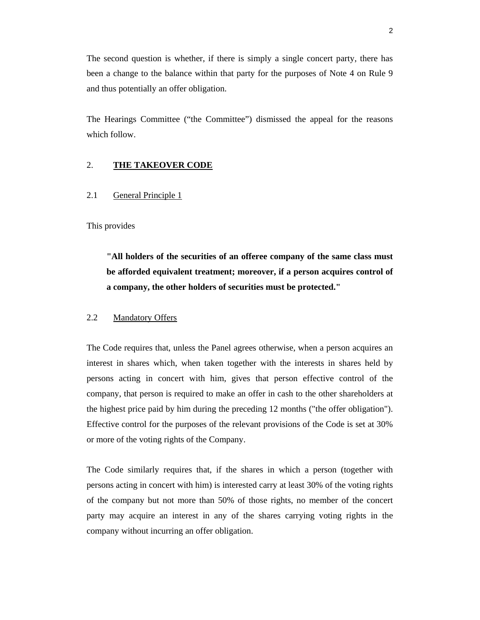The second question is whether, if there is simply a single concert party, there has been a change to the balance within that party for the purposes of Note 4 on Rule 9 and thus potentially an offer obligation.

The Hearings Committee ("the Committee") dismissed the appeal for the reasons which follow.

# 2. **THE TAKEOVER CODE**

# 2.1 General Principle 1

This provides

**"All holders of the securities of an offeree company of the same class must be afforded equivalent treatment; moreover, if a person acquires control of a company, the other holders of securities must be protected."** 

# 2.2 Mandatory Offers

The Code requires that, unless the Panel agrees otherwise, when a person acquires an interest in shares which, when taken together with the interests in shares held by persons acting in concert with him, gives that person effective control of the company, that person is required to make an offer in cash to the other shareholders at the highest price paid by him during the preceding 12 months ("the offer obligation"). Effective control for the purposes of the relevant provisions of the Code is set at 30% or more of the voting rights of the Company.

The Code similarly requires that, if the shares in which a person (together with persons acting in concert with him) is interested carry at least 30% of the voting rights of the company but not more than 50% of those rights, no member of the concert party may acquire an interest in any of the shares carrying voting rights in the company without incurring an offer obligation.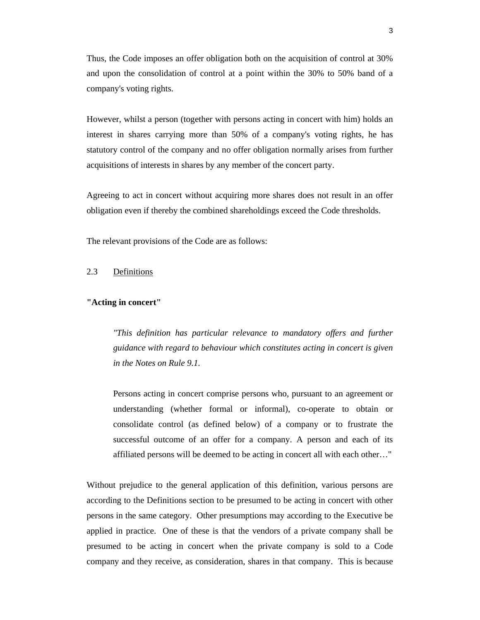Thus, the Code imposes an offer obligation both on the acquisition of control at 30% and upon the consolidation of control at a point within the 30% to 50% band of a company's voting rights.

However, whilst a person (together with persons acting in concert with him) holds an interest in shares carrying more than 50% of a company's voting rights, he has statutory control of the company and no offer obligation normally arises from further acquisitions of interests in shares by any member of the concert party.

Agreeing to act in concert without acquiring more shares does not result in an offer obligation even if thereby the combined shareholdings exceed the Code thresholds.

The relevant provisions of the Code are as follows:

# 2.3 Definitions

# **"Acting in concert"**

*"This definition has particular relevance to mandatory offers and further guidance with regard to behaviour which constitutes acting in concert is given in the Notes on Rule 9.1.* 

Persons acting in concert comprise persons who, pursuant to an agreement or understanding (whether formal or informal), co-operate to obtain or consolidate control (as defined below) of a company or to frustrate the successful outcome of an offer for a company. A person and each of its affiliated persons will be deemed to be acting in concert all with each other…"

Without prejudice to the general application of this definition, various persons are according to the Definitions section to be presumed to be acting in concert with other persons in the same category. Other presumptions may according to the Executive be applied in practice. One of these is that the vendors of a private company shall be presumed to be acting in concert when the private company is sold to a Code company and they receive, as consideration, shares in that company. This is because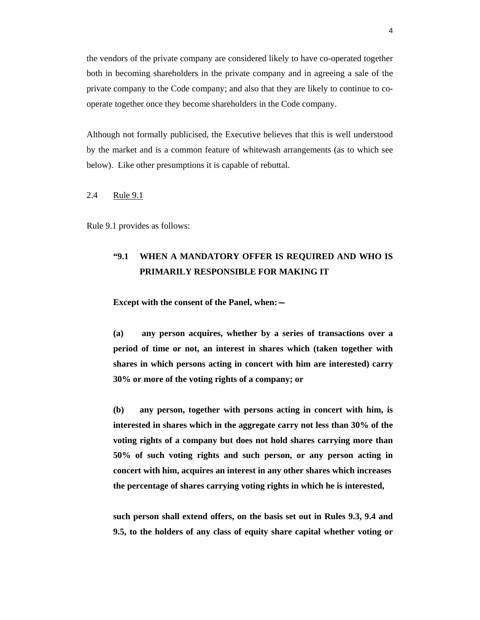the vendors of the private company are considered likely to have co-operated together both in becoming shareholders in the private company and in agreeing a sale of the private company to the Code company; and also that they are likely to continue to cooperate together once they become shareholders in the Code company.

Although not formally publicised, the Executive believes that this is well understood by the market and is a common feature of whitewash arrangements (as to which see below). Like other presumptions it is capable of rebuttal.

2.4 Rule 9.1

Rule 9.1 provides as follows:

# **"9.1 WHEN A MANDATORY OFFER IS REQUIRED AND WHO IS PRIMARILY RESPONSIBLE FOR MAKING IT**

**Except with the consent of the Panel, when:—**

**(a) any person acquires, whether by a series of transactions over a period of time or not, an interest in shares which (taken together with shares in which persons acting in concert with him are interested) carry 30% or more of the voting rights of a company; or** 

**(b) any person, together with persons acting in concert with him, is interested in shares which in the aggregate carry not less than 30% of the voting rights of a company but does not hold shares carrying more than 50% of such voting rights and such person, or any person acting in concert with him, acquires an interest in any other shares which increases the percentage of shares carrying voting rights in which he is interested,** 

**such person shall extend offers, on the basis set out in Rules 9.3, 9.4 and 9.5, to the holders of any class of equity share capital whether voting or**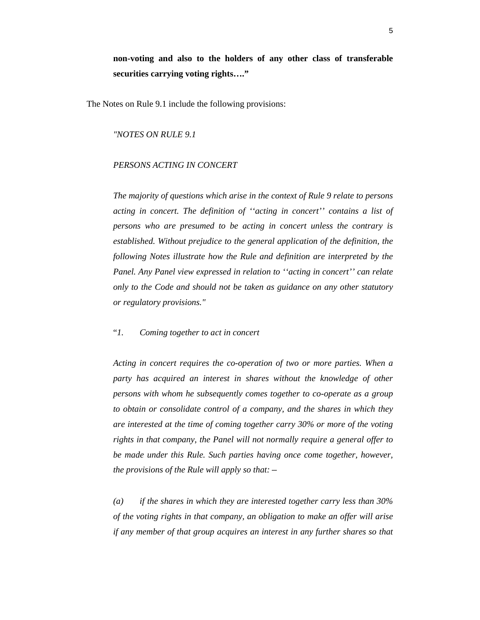**non-voting and also to the holders of any other class of transferable securities carrying voting rights…."** 

The Notes on Rule 9.1 include the following provisions:

*"NOTES ON RULE 9.1* 

### *PERSONS ACTING IN CONCERT*

*The majority of questions which arise in the context of Rule 9 relate to persons acting in concert. The definition of ''acting in concert'' contains a list of persons who are presumed to be acting in concert unless the contrary is established. Without prejudice to the general application of the definition, the following Notes illustrate how the Rule and definition are interpreted by the Panel. Any Panel view expressed in relation to ''acting in concert'' can relate only to the Code and should not be taken as guidance on any other statutory or regulatory provisions."*

# "*1. Coming together to act in concert*

*Acting in concert requires the co-operation of two or more parties. When a party has acquired an interest in shares without the knowledge of other persons with whom he subsequently comes together to co-operate as a group to obtain or consolidate control of a company, and the shares in which they are interested at the time of coming together carry 30% or more of the voting rights in that company, the Panel will not normally require a general offer to be made under this Rule. Such parties having once come together, however, the provisions of the Rule will apply so that:—*

*(a) if the shares in which they are interested together carry less than 30% of the voting rights in that company, an obligation to make an offer will arise if any member of that group acquires an interest in any further shares so that*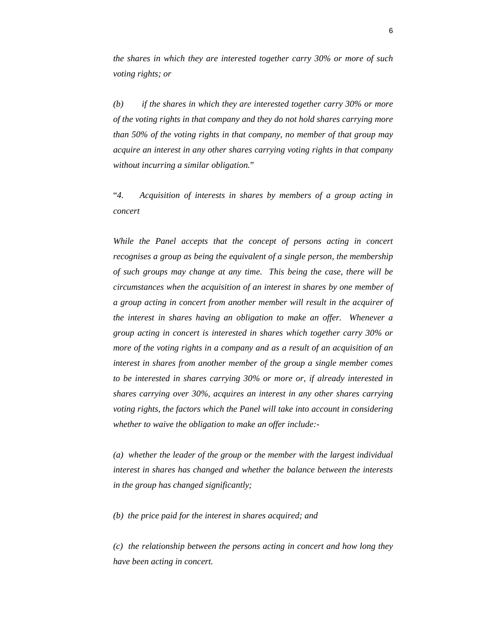*the shares in which they are interested together carry 30% or more of such voting rights; or* 

*(b) if the shares in which they are interested together carry 30% or more of the voting rights in that company and they do not hold shares carrying more than 50% of the voting rights in that company, no member of that group may acquire an interest in any other shares carrying voting rights in that company without incurring a similar obligation.*"

"*4. Acquisition of interests in shares by members of a group acting in concert* 

*While the Panel accepts that the concept of persons acting in concert recognises a group as being the equivalent of a single person, the membership of such groups may change at any time. This being the case, there will be circumstances when the acquisition of an interest in shares by one member of a group acting in concert from another member will result in the acquirer of the interest in shares having an obligation to make an offer. Whenever a group acting in concert is interested in shares which together carry 30% or more of the voting rights in a company and as a result of an acquisition of an interest in shares from another member of the group a single member comes to be interested in shares carrying 30% or more or, if already interested in shares carrying over 30%, acquires an interest in any other shares carrying voting rights, the factors which the Panel will take into account in considering whether to waive the obligation to make an offer include:-* 

*(a) whether the leader of the group or the member with the largest individual interest in shares has changed and whether the balance between the interests in the group has changed significantly;* 

*(b) the price paid for the interest in shares acquired; and* 

*(c) the relationship between the persons acting in concert and how long they have been acting in concert.*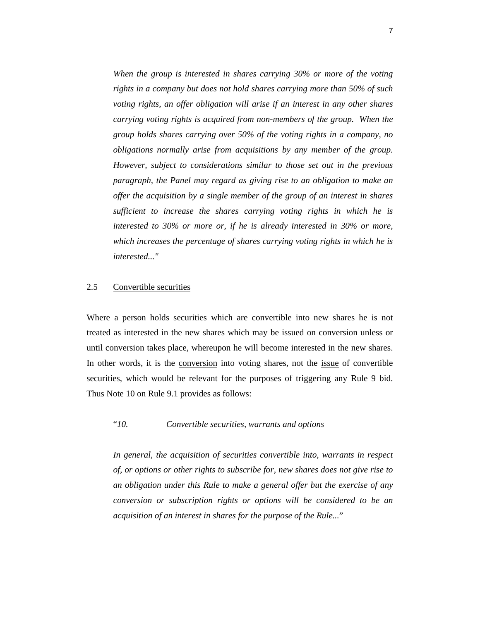*When the group is interested in shares carrying 30% or more of the voting rights in a company but does not hold shares carrying more than 50% of such voting rights, an offer obligation will arise if an interest in any other shares carrying voting rights is acquired from non-members of the group. When the group holds shares carrying over 50% of the voting rights in a company, no obligations normally arise from acquisitions by any member of the group. However, subject to considerations similar to those set out in the previous paragraph, the Panel may regard as giving rise to an obligation to make an offer the acquisition by a single member of the group of an interest in shares sufficient to increase the shares carrying voting rights in which he is interested to 30% or more or, if he is already interested in 30% or more, which increases the percentage of shares carrying voting rights in which he is interested..."* 

### 2.5 Convertible securities

Where a person holds securities which are convertible into new shares he is not treated as interested in the new shares which may be issued on conversion unless or until conversion takes place, whereupon he will become interested in the new shares. In other words, it is the conversion into voting shares, not the issue of convertible securities, which would be relevant for the purposes of triggering any Rule 9 bid. Thus Note 10 on Rule 9.1 provides as follows:

"*10. Convertible securities, warrants and options* 

 *In general, the acquisition of securities convertible into, warrants in respect of, or options or other rights to subscribe for, new shares does not give rise to an obligation under this Rule to make a general offer but the exercise of any conversion or subscription rights or options will be considered to be an acquisition of an interest in shares for the purpose of the Rule...*"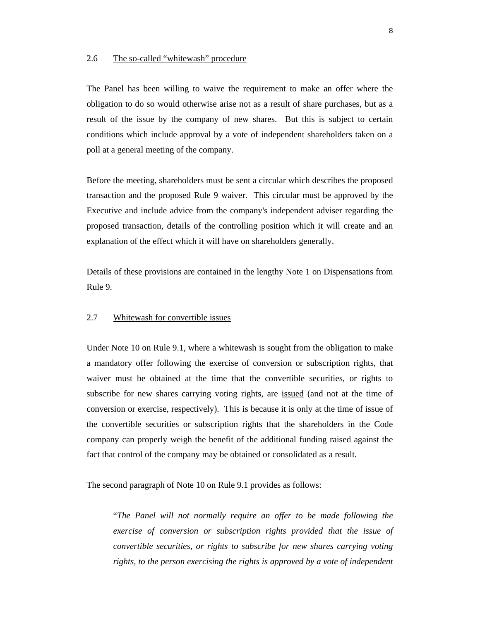### 2.6 The so-called "whitewash" procedure

The Panel has been willing to waive the requirement to make an offer where the obligation to do so would otherwise arise not as a result of share purchases, but as a result of the issue by the company of new shares. But this is subject to certain conditions which include approval by a vote of independent shareholders taken on a poll at a general meeting of the company.

Before the meeting, shareholders must be sent a circular which describes the proposed transaction and the proposed Rule 9 waiver. This circular must be approved by the Executive and include advice from the company's independent adviser regarding the proposed transaction, details of the controlling position which it will create and an explanation of the effect which it will have on shareholders generally.

Details of these provisions are contained in the lengthy Note 1 on Dispensations from Rule 9.

# 2.7 Whitewash for convertible issues

Under Note 10 on Rule 9.1, where a whitewash is sought from the obligation to make a mandatory offer following the exercise of conversion or subscription rights, that waiver must be obtained at the time that the convertible securities, or rights to subscribe for new shares carrying voting rights, are issued (and not at the time of conversion or exercise, respectively). This is because it is only at the time of issue of the convertible securities or subscription rights that the shareholders in the Code company can properly weigh the benefit of the additional funding raised against the fact that control of the company may be obtained or consolidated as a result.

The second paragraph of Note 10 on Rule 9.1 provides as follows:

 "*The Panel will not normally require an offer to be made following the exercise of conversion or subscription rights provided that the issue of convertible securities, or rights to subscribe for new shares carrying voting rights, to the person exercising the rights is approved by a vote of independent*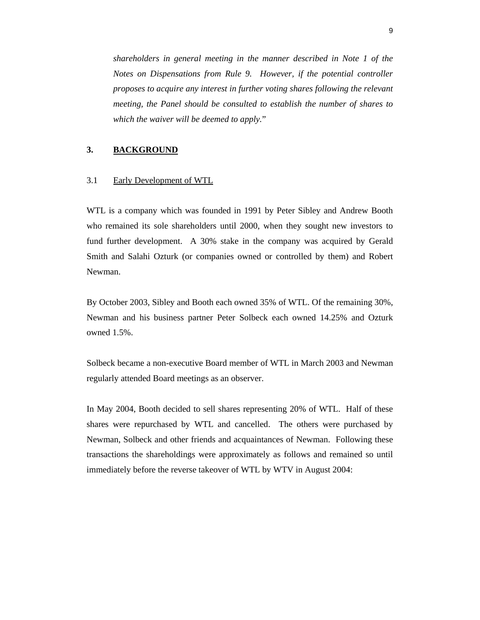*shareholders in general meeting in the manner described in Note 1 of the Notes on Dispensations from Rule 9. However, if the potential controller proposes to acquire any interest in further voting shares following the relevant meeting, the Panel should be consulted to establish the number of shares to which the waiver will be deemed to apply.*"

# **3. BACKGROUND**

# 3.1 Early Development of WTL

WTL is a company which was founded in 1991 by Peter Sibley and Andrew Booth who remained its sole shareholders until 2000, when they sought new investors to fund further development. A 30% stake in the company was acquired by Gerald Smith and Salahi Ozturk (or companies owned or controlled by them) and Robert Newman.

By October 2003, Sibley and Booth each owned 35% of WTL. Of the remaining 30%, Newman and his business partner Peter Solbeck each owned 14.25% and Ozturk owned 1.5%.

Solbeck became a non-executive Board member of WTL in March 2003 and Newman regularly attended Board meetings as an observer.

In May 2004, Booth decided to sell shares representing 20% of WTL. Half of these shares were repurchased by WTL and cancelled. The others were purchased by Newman, Solbeck and other friends and acquaintances of Newman. Following these transactions the shareholdings were approximately as follows and remained so until immediately before the reverse takeover of WTL by WTV in August 2004: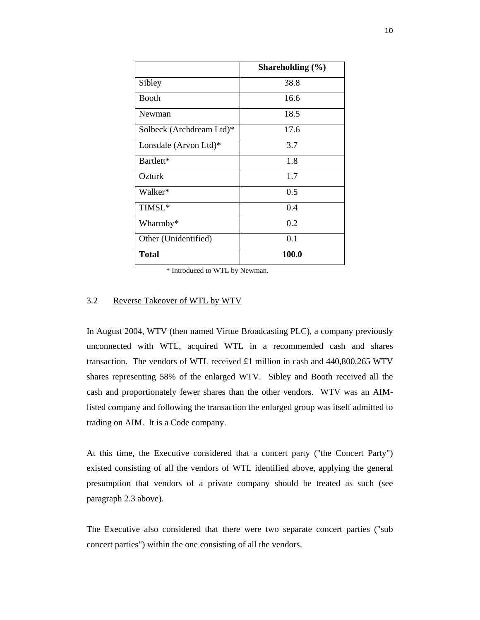|                          | Shareholding $(\% )$ |
|--------------------------|----------------------|
| Sibley                   | 38.8                 |
| <b>Booth</b>             | 16.6                 |
| Newman                   | 18.5                 |
| Solbeck (Archdream Ltd)* | 17.6                 |
| Lonsdale (Arvon Ltd)*    | 3.7                  |
| Bartlett*                | 1.8                  |
| Ozturk                   | 1.7                  |
| Walker*                  | 0.5                  |
| TIMSL*                   | 0.4                  |
| Wharmby*                 | 0.2                  |
| Other (Unidentified)     | 0.1                  |
| <b>Total</b>             | <b>100.0</b>         |

\* Introduced to WTL by Newman.

### 3.2 Reverse Takeover of WTL by WTV

In August 2004, WTV (then named Virtue Broadcasting PLC), a company previously unconnected with WTL, acquired WTL in a recommended cash and shares transaction. The vendors of WTL received £1 million in cash and  $440,800,265$  WTV shares representing 58% of the enlarged WTV. Sibley and Booth received all the cash and proportionately fewer shares than the other vendors. WTV was an AIMlisted company and following the transaction the enlarged group was itself admitted to trading on AIM. It is a Code company.

At this time, the Executive considered that a concert party ("the Concert Party") existed consisting of all the vendors of WTL identified above, applying the general presumption that vendors of a private company should be treated as such (see paragraph 2.3 above).

The Executive also considered that there were two separate concert parties ("sub concert parties") within the one consisting of all the vendors.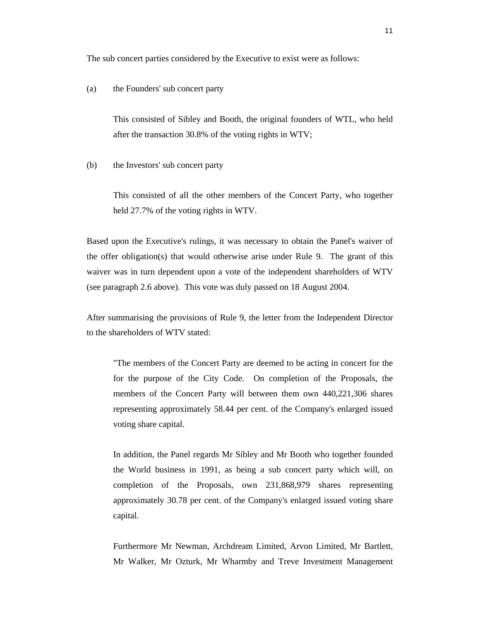The sub concert parties considered by the Executive to exist were as follows:

### (a) the Founders' sub concert party

This consisted of Sibley and Booth, the original founders of WTL, who held after the transaction 30.8% of the voting rights in WTV;

(b) the Investors' sub concert party

This consisted of all the other members of the Concert Party, who together held 27.7% of the voting rights in WTV.

Based upon the Executive's rulings, it was necessary to obtain the Panel's waiver of the offer obligation(s) that would otherwise arise under Rule 9. The grant of this waiver was in turn dependent upon a vote of the independent shareholders of WTV (see paragraph 2.6 above). This vote was duly passed on 18 August 2004.

After summarising the provisions of Rule 9, the letter from the Independent Director to the shareholders of WTV stated:

"The members of the Concert Party are deemed to be acting in concert for the for the purpose of the City Code. On completion of the Proposals, the members of the Concert Party will between them own 440,221,306 shares representing approximately 58.44 per cent. of the Company's enlarged issued voting share capital.

In addition, the Panel regards Mr Sibley and Mr Booth who together founded the World business in 1991, as being a sub concert party which will, on completion of the Proposals, own 231,868,979 shares representing approximately 30.78 per cent. of the Company's enlarged issued voting share capital.

Furthermore Mr Newman, Archdream Limited, Arvon Limited, Mr Bartlett, Mr Walker, Mr Ozturk, Mr Wharmby and Treve Investment Management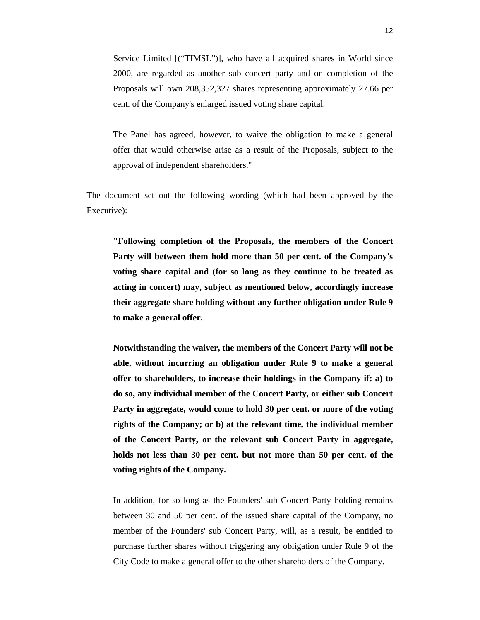Service Limited [("TIMSL")], who have all acquired shares in World since 2000, are regarded as another sub concert party and on completion of the Proposals will own 208,352,327 shares representing approximately 27.66 per cent. of the Company's enlarged issued voting share capital.

The Panel has agreed, however, to waive the obligation to make a general offer that would otherwise arise as a result of the Proposals, subject to the approval of independent shareholders."

The document set out the following wording (which had been approved by the Executive):

**"Following completion of the Proposals, the members of the Concert Party will between them hold more than 50 per cent. of the Company's voting share capital and (for so long as they continue to be treated as acting in concert) may, subject as mentioned below, accordingly increase their aggregate share holding without any further obligation under Rule 9 to make a general offer.** 

**Notwithstanding the waiver, the members of the Concert Party will not be able, without incurring an obligation under Rule 9 to make a general offer to shareholders, to increase their holdings in the Company if: a) to do so, any individual member of the Concert Party, or either sub Concert Party in aggregate, would come to hold 30 per cent. or more of the voting rights of the Company; or b) at the relevant time, the individual member of the Concert Party, or the relevant sub Concert Party in aggregate, holds not less than 30 per cent. but not more than 50 per cent. of the voting rights of the Company.** 

In addition, for so long as the Founders' sub Concert Party holding remains between 30 and 50 per cent. of the issued share capital of the Company, no member of the Founders' sub Concert Party, will, as a result, be entitled to purchase further shares without triggering any obligation under Rule 9 of the City Code to make a general offer to the other shareholders of the Company.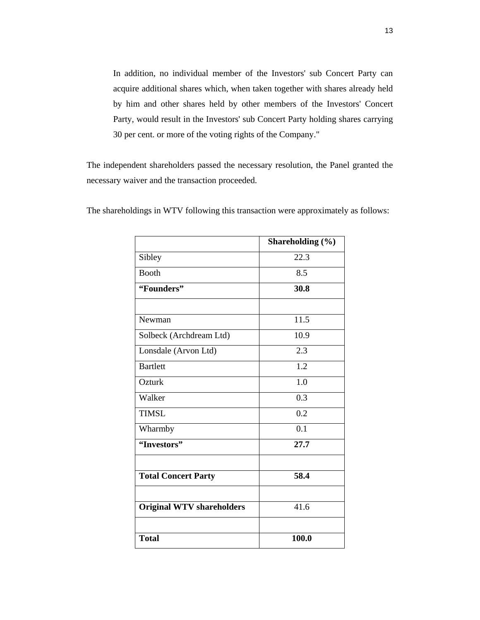In addition, no individual member of the Investors' sub Concert Party can acquire additional shares which, when taken together with shares already held by him and other shares held by other members of the Investors' Concert Party, would result in the Investors' sub Concert Party holding shares carrying 30 per cent. or more of the voting rights of the Company."

The independent shareholders passed the necessary resolution, the Panel granted the necessary waiver and the transaction proceeded.

|                                  | Shareholding (%) |  |  |
|----------------------------------|------------------|--|--|
| Sibley                           | 22.3             |  |  |
| <b>Booth</b>                     | 8.5              |  |  |
| "Founders"                       | 30.8             |  |  |
|                                  |                  |  |  |
| Newman                           | 11.5             |  |  |
| Solbeck (Archdream Ltd)          | 10.9             |  |  |
| Lonsdale (Arvon Ltd)             | 2.3              |  |  |
| <b>Bartlett</b>                  | 1.2              |  |  |
| Ozturk                           | 1.0              |  |  |
| Walker                           | 0.3              |  |  |
| <b>TIMSL</b>                     | 0.2              |  |  |
| Wharmby                          | $\overline{0.1}$ |  |  |
| "Investors"                      | 27.7             |  |  |
| <b>Total Concert Party</b>       | 58.4             |  |  |
| <b>Original WTV shareholders</b> | 41.6             |  |  |
| <b>Total</b>                     | 100.0            |  |  |

The shareholdings in WTV following this transaction were approximately as follows: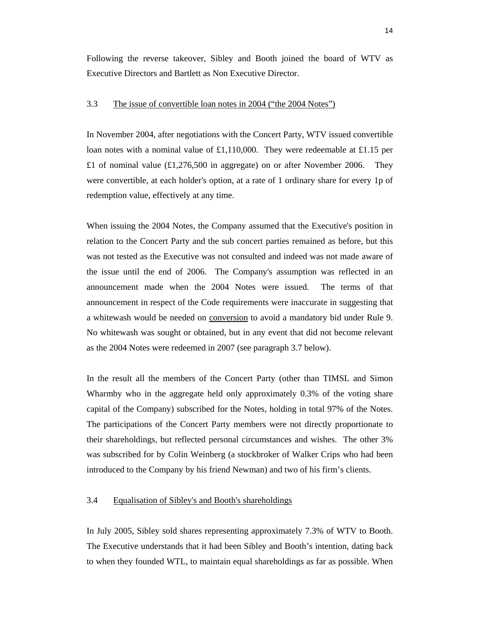Following the reverse takeover, Sibley and Booth joined the board of WTV as Executive Directors and Bartlett as Non Executive Director.

# 3.3 The issue of convertible loan notes in 2004 ("the 2004 Notes")

In November 2004, after negotiations with the Concert Party, WTV issued convertible loan notes with a nominal value of £1,110,000. They were redeemable at £1.15 per £1 of nominal value  $(\text{\textsterling}1,276,500)$  in aggregate) on or after November 2006. They were convertible, at each holder's option, at a rate of 1 ordinary share for every 1p of redemption value, effectively at any time.

When issuing the 2004 Notes, the Company assumed that the Executive's position in relation to the Concert Party and the sub concert parties remained as before, but this was not tested as the Executive was not consulted and indeed was not made aware of the issue until the end of 2006. The Company's assumption was reflected in an announcement made when the 2004 Notes were issued. The terms of that announcement in respect of the Code requirements were inaccurate in suggesting that a whitewash would be needed on conversion to avoid a mandatory bid under Rule 9. No whitewash was sought or obtained, but in any event that did not become relevant as the 2004 Notes were redeemed in 2007 (see paragraph 3.7 below).

In the result all the members of the Concert Party (other than TIMSL and Simon Wharmby who in the aggregate held only approximately 0.3% of the voting share capital of the Company) subscribed for the Notes, holding in total 97% of the Notes. The participations of the Concert Party members were not directly proportionate to their shareholdings, but reflected personal circumstances and wishes. The other 3% was subscribed for by Colin Weinberg (a stockbroker of Walker Crips who had been introduced to the Company by his friend Newman) and two of his firm's clients.

### 3.4 Equalisation of Sibley's and Booth's shareholdings

In July 2005, Sibley sold shares representing approximately 7.3% of WTV to Booth. The Executive understands that it had been Sibley and Booth's intention, dating back to when they founded WTL, to maintain equal shareholdings as far as possible. When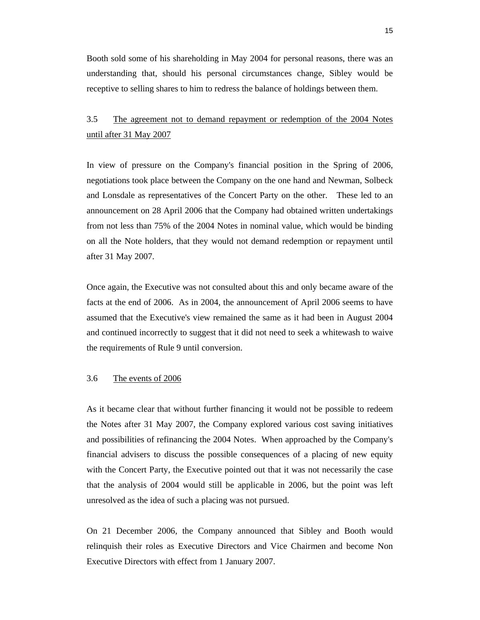Booth sold some of his shareholding in May 2004 for personal reasons, there was an understanding that, should his personal circumstances change, Sibley would be receptive to selling shares to him to redress the balance of holdings between them.

# 3.5 The agreement not to demand repayment or redemption of the 2004 Notes until after 31 May 2007

In view of pressure on the Company's financial position in the Spring of 2006, negotiations took place between the Company on the one hand and Newman, Solbeck and Lonsdale as representatives of the Concert Party on the other. These led to an announcement on 28 April 2006 that the Company had obtained written undertakings from not less than 75% of the 2004 Notes in nominal value, which would be binding on all the Note holders, that they would not demand redemption or repayment until after 31 May 2007.

Once again, the Executive was not consulted about this and only became aware of the facts at the end of 2006. As in 2004, the announcement of April 2006 seems to have assumed that the Executive's view remained the same as it had been in August 2004 and continued incorrectly to suggest that it did not need to seek a whitewash to waive the requirements of Rule 9 until conversion.

### 3.6 The events of 2006

As it became clear that without further financing it would not be possible to redeem the Notes after 31 May 2007, the Company explored various cost saving initiatives and possibilities of refinancing the 2004 Notes. When approached by the Company's financial advisers to discuss the possible consequences of a placing of new equity with the Concert Party, the Executive pointed out that it was not necessarily the case that the analysis of 2004 would still be applicable in 2006, but the point was left unresolved as the idea of such a placing was not pursued.

On 21 December 2006, the Company announced that Sibley and Booth would relinquish their roles as Executive Directors and Vice Chairmen and become Non Executive Directors with effect from 1 January 2007.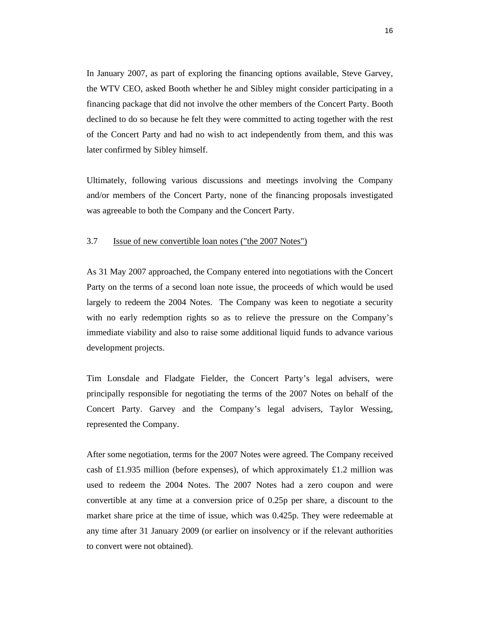In January 2007, as part of exploring the financing options available, Steve Garvey, the WTV CEO, asked Booth whether he and Sibley might consider participating in a financing package that did not involve the other members of the Concert Party. Booth declined to do so because he felt they were committed to acting together with the rest of the Concert Party and had no wish to act independently from them, and this was later confirmed by Sibley himself.

Ultimately, following various discussions and meetings involving the Company and/or members of the Concert Party, none of the financing proposals investigated was agreeable to both the Company and the Concert Party.

### 3.7 Issue of new convertible loan notes ("the 2007 Notes")

As 31 May 2007 approached, the Company entered into negotiations with the Concert Party on the terms of a second loan note issue, the proceeds of which would be used largely to redeem the 2004 Notes. The Company was keen to negotiate a security with no early redemption rights so as to relieve the pressure on the Company's immediate viability and also to raise some additional liquid funds to advance various development projects.

Tim Lonsdale and Fladgate Fielder, the Concert Party's legal advisers, were principally responsible for negotiating the terms of the 2007 Notes on behalf of the Concert Party. Garvey and the Company's legal advisers, Taylor Wessing, represented the Company.

After some negotiation, terms for the 2007 Notes were agreed. The Company received cash of £1.935 million (before expenses), of which approximately £1.2 million was used to redeem the 2004 Notes. The 2007 Notes had a zero coupon and were convertible at any time at a conversion price of 0.25p per share, a discount to the market share price at the time of issue, which was 0.425p. They were redeemable at any time after 31 January 2009 (or earlier on insolvency or if the relevant authorities to convert were not obtained).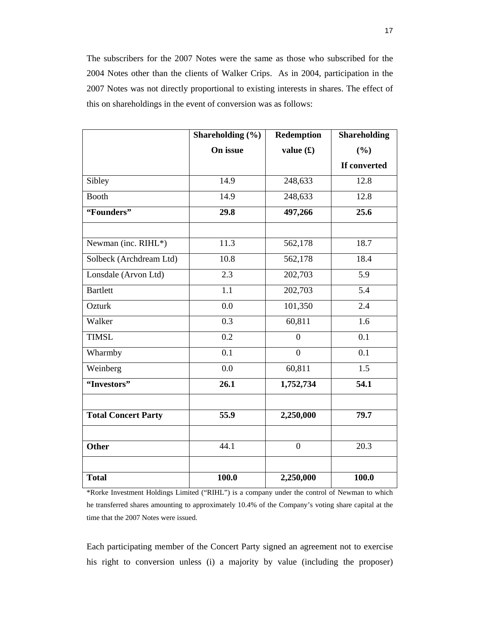The subscribers for the 2007 Notes were the same as those who subscribed for the 2004 Notes other than the clients of Walker Crips. As in 2004, participation in the 2007 Notes was not directly proportional to existing interests in shares. The effect of this on shareholdings in the event of conversion was as follows:

|                            | Shareholding $(\% )$ | <b>Redemption</b> | <b>Shareholding</b> |
|----------------------------|----------------------|-------------------|---------------------|
|                            | On issue             | value $(f)$       | (%)                 |
|                            |                      |                   | If converted        |
| Sibley                     | 14.9                 | 248,633           | 12.8                |
| <b>Booth</b>               | 14.9                 | 248,633           | 12.8                |
| "Founders"                 | 29.8                 | 497,266           | 25.6                |
|                            |                      |                   |                     |
| Newman (inc. RIHL*)        | 11.3                 | 562,178           | 18.7                |
| Solbeck (Archdream Ltd)    | 10.8                 | 562,178           | 18.4                |
| Lonsdale (Arvon Ltd)       | 2.3                  | 202,703           | 5.9                 |
| <b>Bartlett</b>            | 1.1                  | 202,703           | 5.4                 |
| Ozturk                     | 0.0                  | 101,350           | 2.4                 |
| Walker                     | $\overline{0.3}$     | 60,811            | 1.6                 |
| <b>TIMSL</b>               | 0.2                  | $\overline{0}$    | 0.1                 |
| Wharmby                    | $\overline{0.1}$     | $\overline{0}$    | 0.1                 |
| Weinberg                   | 0.0                  | 60,811            | 1.5                 |
| "Investors"                | 26.1                 | 1,752,734         | 54.1                |
|                            |                      |                   |                     |
| <b>Total Concert Party</b> | $\overline{55.9}$    | 2,250,000         | 79.7                |
|                            |                      |                   |                     |
| <b>Other</b>               | 44.1                 | $\overline{0}$    | 20.3                |
|                            |                      |                   |                     |
| <b>Total</b>               | 100.0                | 2,250,000         | 100.0               |

\*Rorke Investment Holdings Limited ("RIHL") is a company under the control of Newman to which he transferred shares amounting to approximately 10.4% of the Company's voting share capital at the time that the 2007 Notes were issued.

Each participating member of the Concert Party signed an agreement not to exercise his right to conversion unless (i) a majority by value (including the proposer)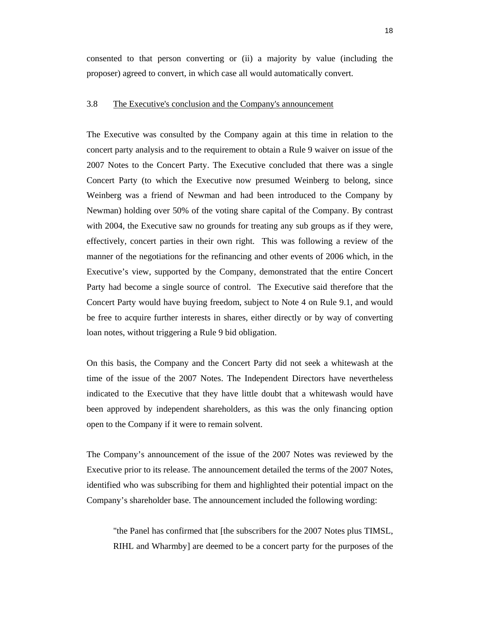consented to that person converting or (ii) a majority by value (including the proposer) agreed to convert, in which case all would automatically convert.

# 3.8 The Executive's conclusion and the Company's announcement

The Executive was consulted by the Company again at this time in relation to the concert party analysis and to the requirement to obtain a Rule 9 waiver on issue of the 2007 Notes to the Concert Party. The Executive concluded that there was a single Concert Party (to which the Executive now presumed Weinberg to belong, since Weinberg was a friend of Newman and had been introduced to the Company by Newman) holding over 50% of the voting share capital of the Company. By contrast with 2004, the Executive saw no grounds for treating any sub groups as if they were, effectively, concert parties in their own right. This was following a review of the manner of the negotiations for the refinancing and other events of 2006 which, in the Executive's view, supported by the Company, demonstrated that the entire Concert Party had become a single source of control. The Executive said therefore that the Concert Party would have buying freedom, subject to Note 4 on Rule 9.1, and would be free to acquire further interests in shares, either directly or by way of converting loan notes, without triggering a Rule 9 bid obligation.

On this basis, the Company and the Concert Party did not seek a whitewash at the time of the issue of the 2007 Notes. The Independent Directors have nevertheless indicated to the Executive that they have little doubt that a whitewash would have been approved by independent shareholders, as this was the only financing option open to the Company if it were to remain solvent.

The Company's announcement of the issue of the 2007 Notes was reviewed by the Executive prior to its release. The announcement detailed the terms of the 2007 Notes, identified who was subscribing for them and highlighted their potential impact on the Company's shareholder base. The announcement included the following wording:

"the Panel has confirmed that [the subscribers for the 2007 Notes plus TIMSL, RIHL and Wharmby] are deemed to be a concert party for the purposes of the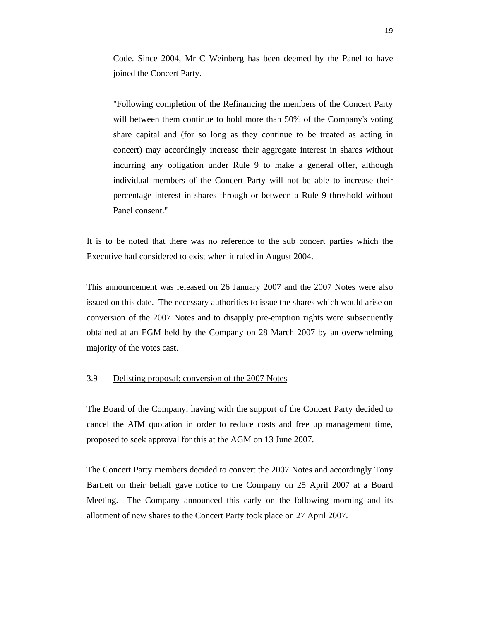Code. Since 2004, Mr C Weinberg has been deemed by the Panel to have joined the Concert Party.

"Following completion of the Refinancing the members of the Concert Party will between them continue to hold more than 50% of the Company's voting share capital and (for so long as they continue to be treated as acting in concert) may accordingly increase their aggregate interest in shares without incurring any obligation under Rule 9 to make a general offer, although individual members of the Concert Party will not be able to increase their percentage interest in shares through or between a Rule 9 threshold without Panel consent."

It is to be noted that there was no reference to the sub concert parties which the Executive had considered to exist when it ruled in August 2004.

This announcement was released on 26 January 2007 and the 2007 Notes were also issued on this date. The necessary authorities to issue the shares which would arise on conversion of the 2007 Notes and to disapply pre-emption rights were subsequently obtained at an EGM held by the Company on 28 March 2007 by an overwhelming majority of the votes cast.

### 3.9 Delisting proposal: conversion of the 2007 Notes

The Board of the Company, having with the support of the Concert Party decided to cancel the AIM quotation in order to reduce costs and free up management time, proposed to seek approval for this at the AGM on 13 June 2007.

The Concert Party members decided to convert the 2007 Notes and accordingly Tony Bartlett on their behalf gave notice to the Company on 25 April 2007 at a Board Meeting. The Company announced this early on the following morning and its allotment of new shares to the Concert Party took place on 27 April 2007.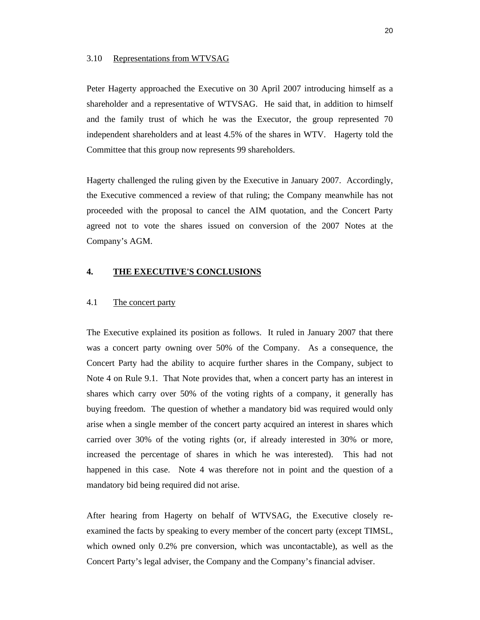### 3.10 Representations from WTVSAG

Peter Hagerty approached the Executive on 30 April 2007 introducing himself as a shareholder and a representative of WTVSAG. He said that, in addition to himself and the family trust of which he was the Executor, the group represented 70 independent shareholders and at least 4.5% of the shares in WTV. Hagerty told the Committee that this group now represents 99 shareholders.

Hagerty challenged the ruling given by the Executive in January 2007. Accordingly, the Executive commenced a review of that ruling; the Company meanwhile has not proceeded with the proposal to cancel the AIM quotation, and the Concert Party agreed not to vote the shares issued on conversion of the 2007 Notes at the Company's AGM.

# **4. THE EXECUTIVE'S CONCLUSIONS**

# 4.1 The concert party

The Executive explained its position as follows. It ruled in January 2007 that there was a concert party owning over 50% of the Company. As a consequence, the Concert Party had the ability to acquire further shares in the Company, subject to Note 4 on Rule 9.1. That Note provides that, when a concert party has an interest in shares which carry over 50% of the voting rights of a company, it generally has buying freedom. The question of whether a mandatory bid was required would only arise when a single member of the concert party acquired an interest in shares which carried over 30% of the voting rights (or, if already interested in 30% or more, increased the percentage of shares in which he was interested). This had not happened in this case. Note 4 was therefore not in point and the question of a mandatory bid being required did not arise.

After hearing from Hagerty on behalf of WTVSAG, the Executive closely reexamined the facts by speaking to every member of the concert party (except TIMSL, which owned only 0.2% pre conversion, which was uncontactable), as well as the Concert Party's legal adviser, the Company and the Company's financial adviser.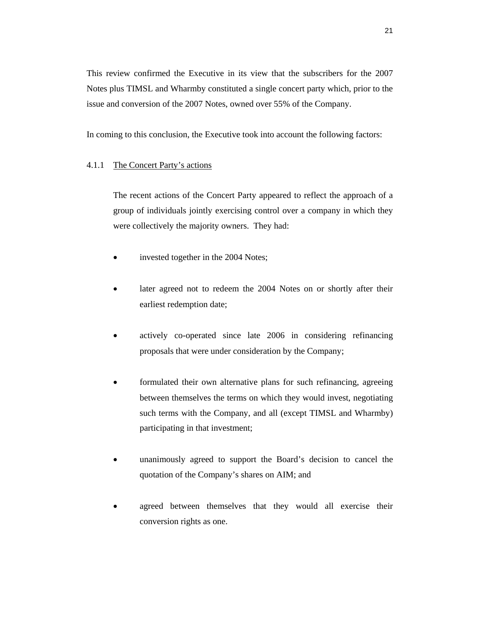This review confirmed the Executive in its view that the subscribers for the 2007 Notes plus TIMSL and Wharmby constituted a single concert party which, prior to the issue and conversion of the 2007 Notes, owned over 55% of the Company.

In coming to this conclusion, the Executive took into account the following factors:

# 4.1.1 The Concert Party's actions

The recent actions of the Concert Party appeared to reflect the approach of a group of individuals jointly exercising control over a company in which they were collectively the majority owners. They had:

- invested together in the 2004 Notes;
- later agreed not to redeem the 2004 Notes on or shortly after their earliest redemption date;
- actively co-operated since late 2006 in considering refinancing proposals that were under consideration by the Company;
- formulated their own alternative plans for such refinancing, agreeing between themselves the terms on which they would invest, negotiating such terms with the Company, and all (except TIMSL and Wharmby) participating in that investment;
- unanimously agreed to support the Board's decision to cancel the quotation of the Company's shares on AIM; and
- agreed between themselves that they would all exercise their conversion rights as one.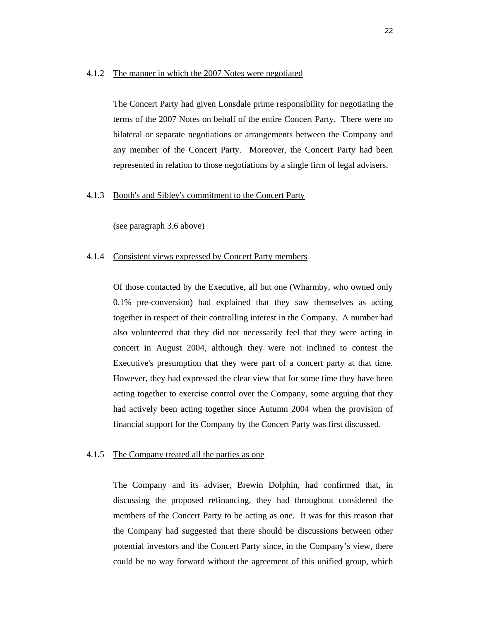### 4.1.2 The manner in which the 2007 Notes were negotiated

The Concert Party had given Lonsdale prime responsibility for negotiating the terms of the 2007 Notes on behalf of the entire Concert Party. There were no bilateral or separate negotiations or arrangements between the Company and any member of the Concert Party. Moreover, the Concert Party had been represented in relation to those negotiations by a single firm of legal advisers.

# 4.1.3 Booth's and Sibley's commitment to the Concert Party

(see paragraph 3.6 above)

### 4.1.4 Consistent views expressed by Concert Party members

Of those contacted by the Executive, all but one (Wharmby, who owned only 0.1% pre-conversion) had explained that they saw themselves as acting together in respect of their controlling interest in the Company. A number had also volunteered that they did not necessarily feel that they were acting in concert in August 2004, although they were not inclined to contest the Executive's presumption that they were part of a concert party at that time. However, they had expressed the clear view that for some time they have been acting together to exercise control over the Company, some arguing that they had actively been acting together since Autumn 2004 when the provision of financial support for the Company by the Concert Party was first discussed.

### 4.1.5 The Company treated all the parties as one

The Company and its adviser, Brewin Dolphin, had confirmed that, in discussing the proposed refinancing, they had throughout considered the members of the Concert Party to be acting as one. It was for this reason that the Company had suggested that there should be discussions between other potential investors and the Concert Party since, in the Company's view, there could be no way forward without the agreement of this unified group, which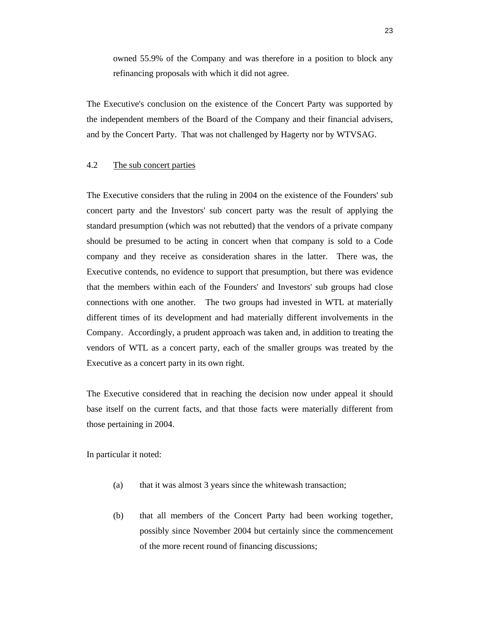owned 55.9% of the Company and was therefore in a position to block any refinancing proposals with which it did not agree.

The Executive's conclusion on the existence of the Concert Party was supported by the independent members of the Board of the Company and their financial advisers, and by the Concert Party. That was not challenged by Hagerty nor by WTVSAG.

# 4.2 The sub concert parties

The Executive considers that the ruling in 2004 on the existence of the Founders' sub concert party and the Investors' sub concert party was the result of applying the standard presumption (which was not rebutted) that the vendors of a private company should be presumed to be acting in concert when that company is sold to a Code company and they receive as consideration shares in the latter. There was, the Executive contends, no evidence to support that presumption, but there was evidence that the members within each of the Founders' and Investors' sub groups had close connections with one another. The two groups had invested in WTL at materially different times of its development and had materially different involvements in the Company. Accordingly, a prudent approach was taken and, in addition to treating the vendors of WTL as a concert party, each of the smaller groups was treated by the Executive as a concert party in its own right.

The Executive considered that in reaching the decision now under appeal it should base itself on the current facts, and that those facts were materially different from those pertaining in 2004.

In particular it noted:

- (a) that it was almost 3 years since the whitewash transaction;
- (b) that all members of the Concert Party had been working together, possibly since November 2004 but certainly since the commencement of the more recent round of financing discussions;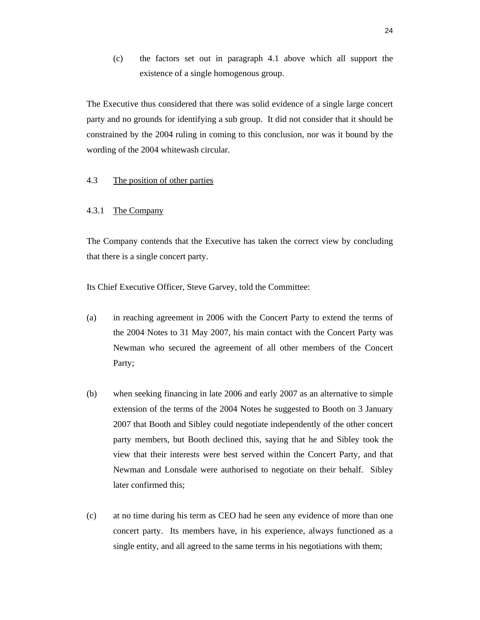(c) the factors set out in paragraph 4.1 above which all support the existence of a single homogenous group.

The Executive thus considered that there was solid evidence of a single large concert party and no grounds for identifying a sub group. It did not consider that it should be constrained by the 2004 ruling in coming to this conclusion, nor was it bound by the wording of the 2004 whitewash circular.

# 4.3 The position of other parties

# 4.3.1 The Company

The Company contends that the Executive has taken the correct view by concluding that there is a single concert party.

Its Chief Executive Officer, Steve Garvey, told the Committee:

- (a) in reaching agreement in 2006 with the Concert Party to extend the terms of the 2004 Notes to 31 May 2007, his main contact with the Concert Party was Newman who secured the agreement of all other members of the Concert Party;
- (b) when seeking financing in late 2006 and early 2007 as an alternative to simple extension of the terms of the 2004 Notes he suggested to Booth on 3 January 2007 that Booth and Sibley could negotiate independently of the other concert party members, but Booth declined this, saying that he and Sibley took the view that their interests were best served within the Concert Party, and that Newman and Lonsdale were authorised to negotiate on their behalf. Sibley later confirmed this;
- (c) at no time during his term as CEO had he seen any evidence of more than one concert party. Its members have, in his experience, always functioned as a single entity, and all agreed to the same terms in his negotiations with them;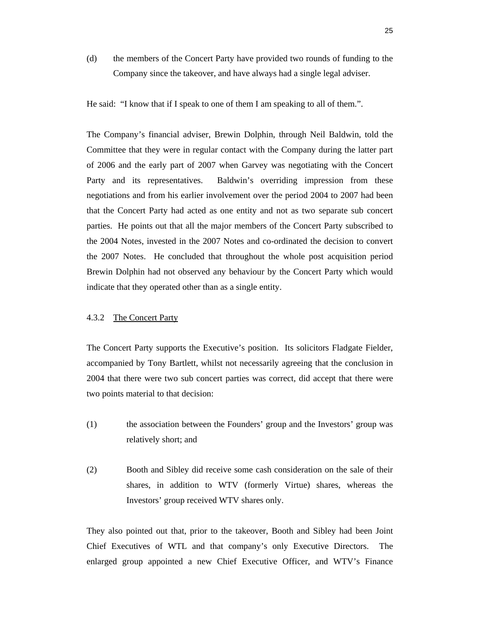(d) the members of the Concert Party have provided two rounds of funding to the Company since the takeover, and have always had a single legal adviser.

He said: "I know that if I speak to one of them I am speaking to all of them.".

The Company's financial adviser, Brewin Dolphin, through Neil Baldwin, told the Committee that they were in regular contact with the Company during the latter part of 2006 and the early part of 2007 when Garvey was negotiating with the Concert Party and its representatives. Baldwin's overriding impression from these negotiations and from his earlier involvement over the period 2004 to 2007 had been that the Concert Party had acted as one entity and not as two separate sub concert parties. He points out that all the major members of the Concert Party subscribed to the 2004 Notes, invested in the 2007 Notes and co-ordinated the decision to convert the 2007 Notes. He concluded that throughout the whole post acquisition period Brewin Dolphin had not observed any behaviour by the Concert Party which would indicate that they operated other than as a single entity.

# 4.3.2 The Concert Party

The Concert Party supports the Executive's position. Its solicitors Fladgate Fielder, accompanied by Tony Bartlett, whilst not necessarily agreeing that the conclusion in 2004 that there were two sub concert parties was correct, did accept that there were two points material to that decision:

- (1) the association between the Founders' group and the Investors' group was relatively short; and
- (2) Booth and Sibley did receive some cash consideration on the sale of their shares, in addition to WTV (formerly Virtue) shares, whereas the Investors' group received WTV shares only.

They also pointed out that, prior to the takeover, Booth and Sibley had been Joint Chief Executives of WTL and that company's only Executive Directors. The enlarged group appointed a new Chief Executive Officer, and WTV's Finance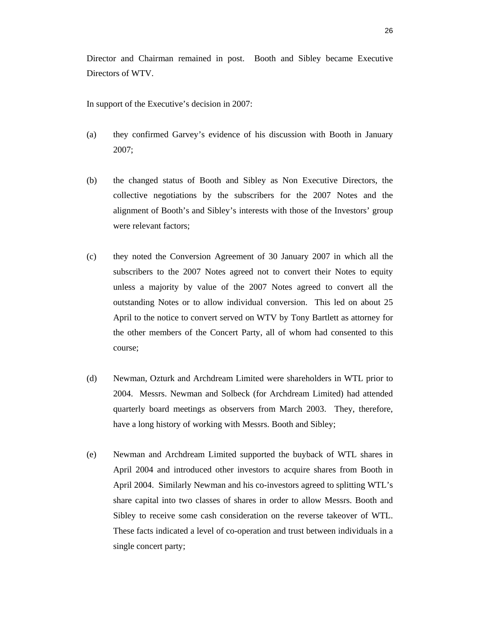Director and Chairman remained in post. Booth and Sibley became Executive Directors of WTV.

In support of the Executive's decision in 2007:

- (a) they confirmed Garvey's evidence of his discussion with Booth in January 2007;
- (b) the changed status of Booth and Sibley as Non Executive Directors, the collective negotiations by the subscribers for the 2007 Notes and the alignment of Booth's and Sibley's interests with those of the Investors' group were relevant factors;
- (c) they noted the Conversion Agreement of 30 January 2007 in which all the subscribers to the 2007 Notes agreed not to convert their Notes to equity unless a majority by value of the 2007 Notes agreed to convert all the outstanding Notes or to allow individual conversion. This led on about 25 April to the notice to convert served on WTV by Tony Bartlett as attorney for the other members of the Concert Party, all of whom had consented to this course;
- (d) Newman, Ozturk and Archdream Limited were shareholders in WTL prior to 2004. Messrs. Newman and Solbeck (for Archdream Limited) had attended quarterly board meetings as observers from March 2003. They, therefore, have a long history of working with Messrs. Booth and Sibley;
- (e) Newman and Archdream Limited supported the buyback of WTL shares in April 2004 and introduced other investors to acquire shares from Booth in April 2004. Similarly Newman and his co-investors agreed to splitting WTL's share capital into two classes of shares in order to allow Messrs. Booth and Sibley to receive some cash consideration on the reverse takeover of WTL. These facts indicated a level of co-operation and trust between individuals in a single concert party;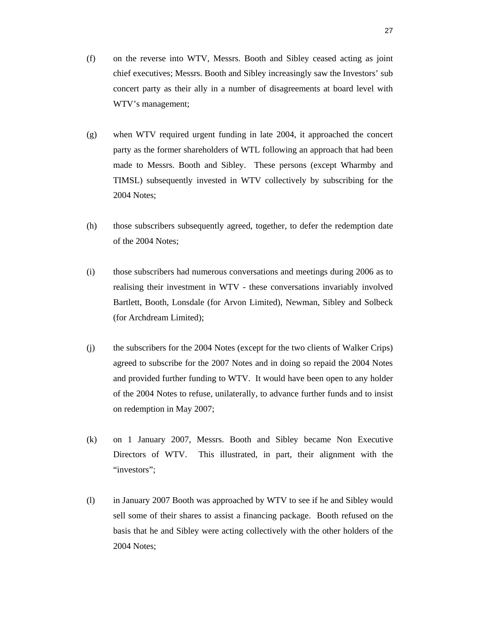- (f) on the reverse into WTV, Messrs. Booth and Sibley ceased acting as joint chief executives; Messrs. Booth and Sibley increasingly saw the Investors' sub concert party as their ally in a number of disagreements at board level with WTV's management;
- (g) when WTV required urgent funding in late 2004, it approached the concert party as the former shareholders of WTL following an approach that had been made to Messrs. Booth and Sibley. These persons (except Wharmby and TIMSL) subsequently invested in WTV collectively by subscribing for the 2004 Notes;
- (h) those subscribers subsequently agreed, together, to defer the redemption date of the 2004 Notes;
- (i) those subscribers had numerous conversations and meetings during 2006 as to realising their investment in WTV - these conversations invariably involved Bartlett, Booth, Lonsdale (for Arvon Limited), Newman, Sibley and Solbeck (for Archdream Limited);
- (j) the subscribers for the 2004 Notes (except for the two clients of Walker Crips) agreed to subscribe for the 2007 Notes and in doing so repaid the 2004 Notes and provided further funding to WTV. It would have been open to any holder of the 2004 Notes to refuse, unilaterally, to advance further funds and to insist on redemption in May 2007;
- (k) on 1 January 2007, Messrs. Booth and Sibley became Non Executive Directors of WTV. This illustrated, in part, their alignment with the "investors":
- (l) in January 2007 Booth was approached by WTV to see if he and Sibley would sell some of their shares to assist a financing package. Booth refused on the basis that he and Sibley were acting collectively with the other holders of the 2004 Notes;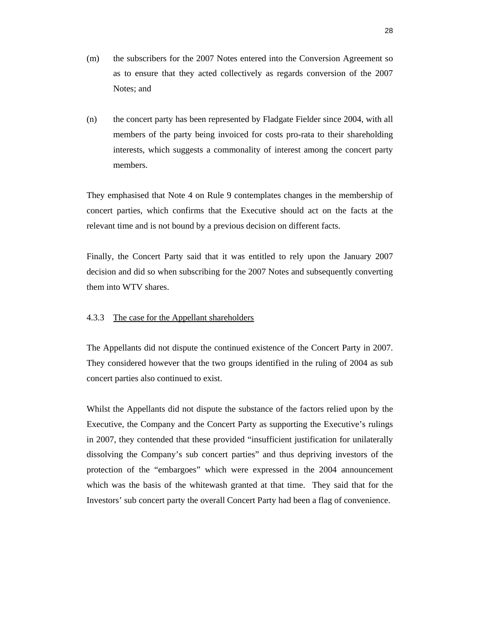- (m) the subscribers for the 2007 Notes entered into the Conversion Agreement so as to ensure that they acted collectively as regards conversion of the 2007 Notes; and
- (n) the concert party has been represented by Fladgate Fielder since 2004, with all members of the party being invoiced for costs pro-rata to their shareholding interests, which suggests a commonality of interest among the concert party members.

They emphasised that Note 4 on Rule 9 contemplates changes in the membership of concert parties, which confirms that the Executive should act on the facts at the relevant time and is not bound by a previous decision on different facts.

Finally, the Concert Party said that it was entitled to rely upon the January 2007 decision and did so when subscribing for the 2007 Notes and subsequently converting them into WTV shares.

# 4.3.3 The case for the Appellant shareholders

The Appellants did not dispute the continued existence of the Concert Party in 2007. They considered however that the two groups identified in the ruling of 2004 as sub concert parties also continued to exist.

Whilst the Appellants did not dispute the substance of the factors relied upon by the Executive, the Company and the Concert Party as supporting the Executive's rulings in 2007, they contended that these provided "insufficient justification for unilaterally dissolving the Company's sub concert parties" and thus depriving investors of the protection of the "embargoes" which were expressed in the 2004 announcement which was the basis of the whitewash granted at that time. They said that for the Investors' sub concert party the overall Concert Party had been a flag of convenience.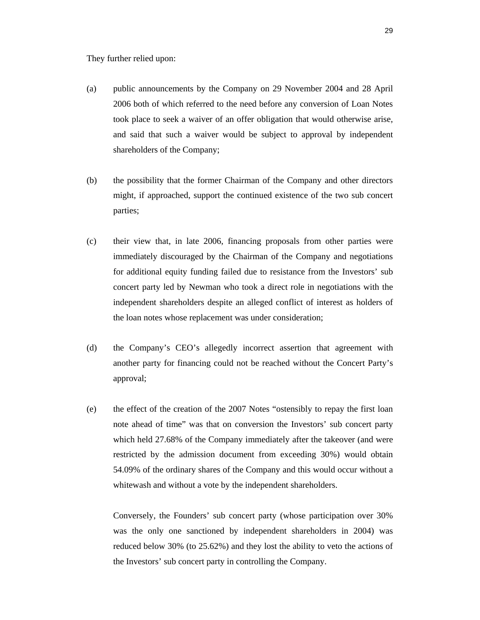They further relied upon:

- (a) public announcements by the Company on 29 November 2004 and 28 April 2006 both of which referred to the need before any conversion of Loan Notes took place to seek a waiver of an offer obligation that would otherwise arise, and said that such a waiver would be subject to approval by independent shareholders of the Company;
- (b) the possibility that the former Chairman of the Company and other directors might, if approached, support the continued existence of the two sub concert parties;
- (c) their view that, in late 2006, financing proposals from other parties were immediately discouraged by the Chairman of the Company and negotiations for additional equity funding failed due to resistance from the Investors' sub concert party led by Newman who took a direct role in negotiations with the independent shareholders despite an alleged conflict of interest as holders of the loan notes whose replacement was under consideration;
- (d) the Company's CEO's allegedly incorrect assertion that agreement with another party for financing could not be reached without the Concert Party's approval;
- (e) the effect of the creation of the 2007 Notes "ostensibly to repay the first loan note ahead of time" was that on conversion the Investors' sub concert party which held 27.68% of the Company immediately after the takeover (and were restricted by the admission document from exceeding 30%) would obtain 54.09% of the ordinary shares of the Company and this would occur without a whitewash and without a vote by the independent shareholders.

Conversely, the Founders' sub concert party (whose participation over 30% was the only one sanctioned by independent shareholders in 2004) was reduced below 30% (to 25.62%) and they lost the ability to veto the actions of the Investors' sub concert party in controlling the Company.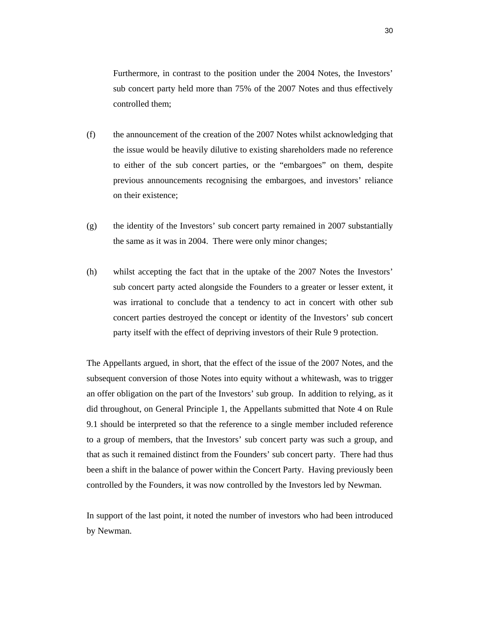Furthermore, in contrast to the position under the 2004 Notes, the Investors' sub concert party held more than 75% of the 2007 Notes and thus effectively controlled them;

- (f) the announcement of the creation of the 2007 Notes whilst acknowledging that the issue would be heavily dilutive to existing shareholders made no reference to either of the sub concert parties, or the "embargoes" on them, despite previous announcements recognising the embargoes, and investors' reliance on their existence;
- (g) the identity of the Investors' sub concert party remained in 2007 substantially the same as it was in 2004. There were only minor changes;
- (h) whilst accepting the fact that in the uptake of the 2007 Notes the Investors' sub concert party acted alongside the Founders to a greater or lesser extent, it was irrational to conclude that a tendency to act in concert with other sub concert parties destroyed the concept or identity of the Investors' sub concert party itself with the effect of depriving investors of their Rule 9 protection.

The Appellants argued, in short, that the effect of the issue of the 2007 Notes, and the subsequent conversion of those Notes into equity without a whitewash, was to trigger an offer obligation on the part of the Investors' sub group. In addition to relying, as it did throughout, on General Principle 1, the Appellants submitted that Note 4 on Rule 9.1 should be interpreted so that the reference to a single member included reference to a group of members, that the Investors' sub concert party was such a group, and that as such it remained distinct from the Founders' sub concert party. There had thus been a shift in the balance of power within the Concert Party. Having previously been controlled by the Founders, it was now controlled by the Investors led by Newman.

In support of the last point, it noted the number of investors who had been introduced by Newman.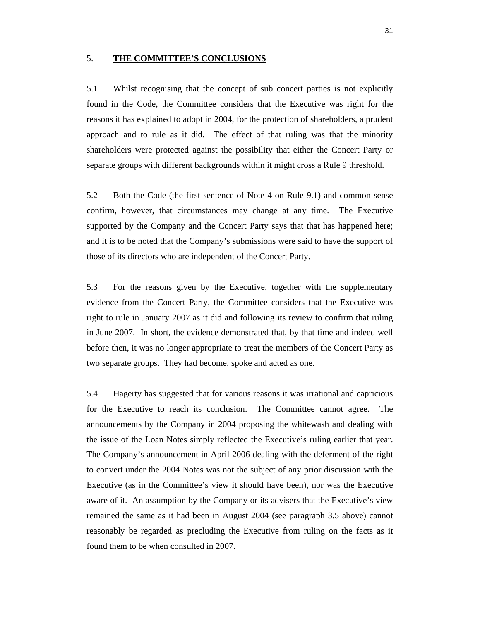### 5. **THE COMMITTEE'S CONCLUSIONS**

5.1 Whilst recognising that the concept of sub concert parties is not explicitly found in the Code, the Committee considers that the Executive was right for the reasons it has explained to adopt in 2004, for the protection of shareholders, a prudent approach and to rule as it did. The effect of that ruling was that the minority shareholders were protected against the possibility that either the Concert Party or separate groups with different backgrounds within it might cross a Rule 9 threshold.

5.2 Both the Code (the first sentence of Note 4 on Rule 9.1) and common sense confirm, however, that circumstances may change at any time. The Executive supported by the Company and the Concert Party says that that has happened here; and it is to be noted that the Company's submissions were said to have the support of those of its directors who are independent of the Concert Party.

5.3 For the reasons given by the Executive, together with the supplementary evidence from the Concert Party, the Committee considers that the Executive was right to rule in January 2007 as it did and following its review to confirm that ruling in June 2007. In short, the evidence demonstrated that, by that time and indeed well before then, it was no longer appropriate to treat the members of the Concert Party as two separate groups. They had become, spoke and acted as one.

5.4 Hagerty has suggested that for various reasons it was irrational and capricious for the Executive to reach its conclusion. The Committee cannot agree. The announcements by the Company in 2004 proposing the whitewash and dealing with the issue of the Loan Notes simply reflected the Executive's ruling earlier that year. The Company's announcement in April 2006 dealing with the deferment of the right to convert under the 2004 Notes was not the subject of any prior discussion with the Executive (as in the Committee's view it should have been), nor was the Executive aware of it. An assumption by the Company or its advisers that the Executive's view remained the same as it had been in August 2004 (see paragraph 3.5 above) cannot reasonably be regarded as precluding the Executive from ruling on the facts as it found them to be when consulted in 2007.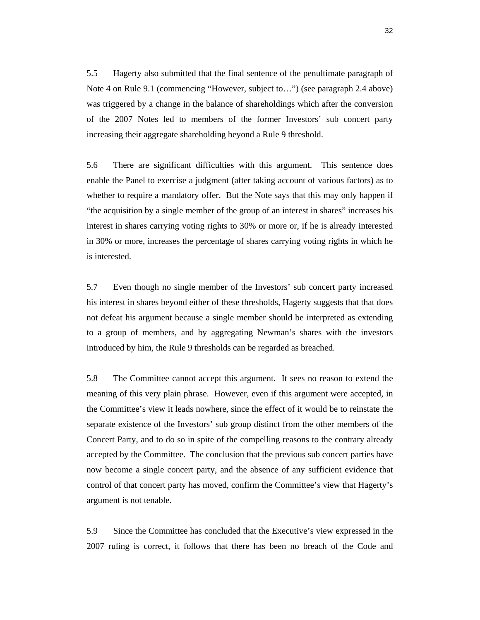5.5 Hagerty also submitted that the final sentence of the penultimate paragraph of Note 4 on Rule 9.1 (commencing "However, subject to…") (see paragraph 2.4 above) was triggered by a change in the balance of shareholdings which after the conversion of the 2007 Notes led to members of the former Investors' sub concert party increasing their aggregate shareholding beyond a Rule 9 threshold.

5.6 There are significant difficulties with this argument. This sentence does enable the Panel to exercise a judgment (after taking account of various factors) as to whether to require a mandatory offer. But the Note says that this may only happen if "the acquisition by a single member of the group of an interest in shares" increases his interest in shares carrying voting rights to 30% or more or, if he is already interested in 30% or more, increases the percentage of shares carrying voting rights in which he is interested.

5.7 Even though no single member of the Investors' sub concert party increased his interest in shares beyond either of these thresholds, Hagerty suggests that that does not defeat his argument because a single member should be interpreted as extending to a group of members, and by aggregating Newman's shares with the investors introduced by him, the Rule 9 thresholds can be regarded as breached.

5.8 The Committee cannot accept this argument. It sees no reason to extend the meaning of this very plain phrase. However, even if this argument were accepted, in the Committee's view it leads nowhere, since the effect of it would be to reinstate the separate existence of the Investors' sub group distinct from the other members of the Concert Party, and to do so in spite of the compelling reasons to the contrary already accepted by the Committee. The conclusion that the previous sub concert parties have now become a single concert party, and the absence of any sufficient evidence that control of that concert party has moved, confirm the Committee's view that Hagerty's argument is not tenable.

5.9 Since the Committee has concluded that the Executive's view expressed in the 2007 ruling is correct, it follows that there has been no breach of the Code and